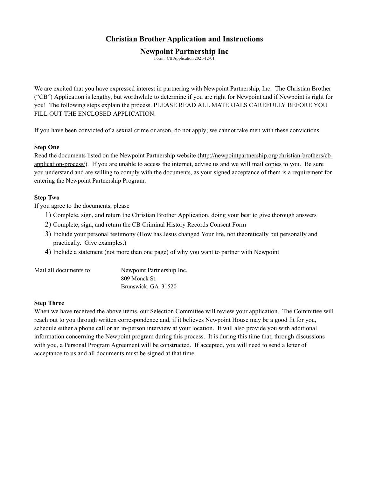## **Christian Brother Application and Instructions**

### **Newpoint Partnership Inc**

Form: CB Application 2021-12-01

We are excited that you have expressed interest in partnering with Newpoint Partnership, Inc. The Christian Brother ("CB") Application is lengthy, but worthwhile to determine if you are right for Newpoint and if Newpoint is right for you! The following steps explain the process. PLEASE READ ALL MATERIALS CAREFULLY BEFORE YOU FILL OUT THE ENCLOSED APPLICATION.

If you have been convicted of a sexual crime or arson, do not apply; we cannot take men with these convictions.

#### **Step One**

Read the documents listed on the Newpoint Partnership website [\(http://newpointpartnership.org/christian-brothers/cb](http://newpointpartnership.org/christian-brothers/cb-application-process/)[application-process/](http://newpointpartnership.org/christian-brothers/cb-application-process/)). If you are unable to access the internet, advise us and we will mail copies to you. Be sure you understand and are willing to comply with the documents, as your signed acceptance of them is a requirement for entering the Newpoint Partnership Program.

#### **Step Two**

If you agree to the documents, please

- 1) Complete, sign, and return the Christian Brother Application, doing your best to give thorough answers
- 2) Complete, sign, and return the CB Criminal History Records Consent Form
- 3) Include your personal testimony (How has Jesus changed Your life, not theoretically but personally and practically. Give examples.)
- 4) Include a statement (not more than one page) of why you want to partner with Newpoint

| Mail all documents to: | Newpoint Partnership Inc. |
|------------------------|---------------------------|
|                        | 809 Monck St.             |
|                        | Brunswick, GA 31520       |

#### **Step Three**

When we have received the above items, our Selection Committee will review your application. The Committee will reach out to you through written correspondence and, if it believes Newpoint House may be a good fit for you, schedule either a phone call or an in-person interview at your location. It will also provide you with additional information concerning the Newpoint program during this process. It is during this time that, through discussions with you, a Personal Program Agreement will be constructed. If accepted, you will need to send a letter of acceptance to us and all documents must be signed at that time.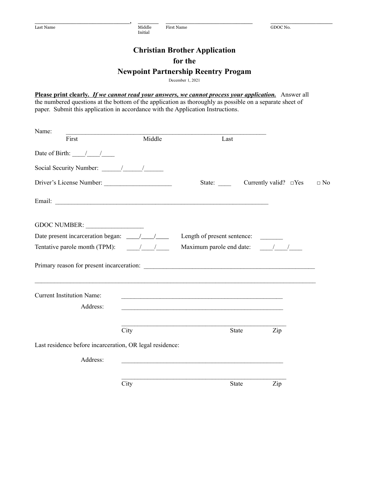Last Name Middle First Name GDOC No. Initial

# **Christian Brother Application for the Newpoint Partnership Reentry Progam**

\_\_\_\_\_\_\_\_\_\_\_\_\_\_\_\_\_\_\_\_\_\_\_, \_\_\_\_\_ \_\_\_\_\_\_\_\_\_\_\_\_\_\_\_\_\_\_\_\_\_ \_\_\_\_\_\_\_\_\_\_\_\_\_\_\_

December 1, 2021

Please print clearly. If we cannot read your answers, we cannot process your application. Answer all the numbered questions at the bottom of the application as thoroughly as possible on a separate sheet of paper. Submit this application in accordance with the Application Instructions.

| Name:                                                          |        |                                                                                                                      |           |
|----------------------------------------------------------------|--------|----------------------------------------------------------------------------------------------------------------------|-----------|
| First                                                          | Middle | Last                                                                                                                 |           |
| Date of Birth: $\frac{1}{2}$                                   |        |                                                                                                                      |           |
|                                                                |        |                                                                                                                      |           |
| Driver's License Number:                                       |        | State: Currently valid? $\square$ Yes                                                                                | $\Box$ No |
|                                                                |        |                                                                                                                      |           |
| GDOC NUMBER:                                                   |        |                                                                                                                      |           |
|                                                                |        | Length of present sentence:                                                                                          |           |
| Tentative parole month (TPM): $\frac{1}{\sqrt{1-\frac{1}{2}}}$ |        | Maximum parole end date: / /                                                                                         |           |
|                                                                |        |                                                                                                                      |           |
| <b>Current Institution Name:</b>                               |        | <u> 1980 - Jan James James, martin de filosofoar (h. 1980).</u>                                                      |           |
| Address:                                                       |        |                                                                                                                      |           |
|                                                                | City   | Zip<br>State                                                                                                         |           |
| Last residence before incarceration, OR legal residence:       |        |                                                                                                                      |           |
| Address:                                                       |        | <u> 1989 - Johann Barn, mars ar yw y cyfan y cynnwys y cynnwys y cynnwys y cynnwys y cynnwys y cynnwys y cynnwys</u> |           |
|                                                                | City   | State<br>Zip                                                                                                         |           |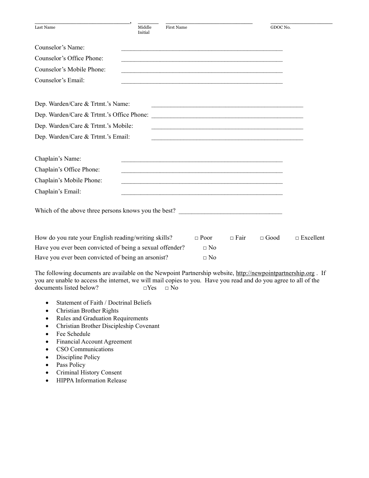| Last Name                                                | Middle<br>Initial                                                                                                | <b>First Name</b>                                                                                                     |             | GDOC No.    |                  |
|----------------------------------------------------------|------------------------------------------------------------------------------------------------------------------|-----------------------------------------------------------------------------------------------------------------------|-------------|-------------|------------------|
| Counselor's Name:                                        |                                                                                                                  |                                                                                                                       |             |             |                  |
| Counselor's Office Phone:                                |                                                                                                                  | <u> 1989 - Johann Stoff, amerikansk politiker (d. 1989)</u>                                                           |             |             |                  |
| Counselor's Mobile Phone:                                |                                                                                                                  |                                                                                                                       |             |             |                  |
| Counselor's Email:                                       |                                                                                                                  |                                                                                                                       |             |             |                  |
| Dep. Warden/Care & Trtmt.'s Name:                        |                                                                                                                  | <u> 1980 - Johann Stoff, deutscher Stoff, der Stoff, der Stoff, der Stoff, der Stoff, der Stoff, der Stoff, der S</u> |             |             |                  |
|                                                          |                                                                                                                  |                                                                                                                       |             |             |                  |
| Dep. Warden/Care & Trtmt.'s Mobile:                      |                                                                                                                  |                                                                                                                       |             |             |                  |
| Dep. Warden/Care & Trtmt.'s Email:                       |                                                                                                                  |                                                                                                                       |             |             |                  |
| Chaplain's Name:                                         |                                                                                                                  |                                                                                                                       |             |             |                  |
| Chaplain's Office Phone:                                 | and the control of the control of the control of the control of the control of the control of the control of the |                                                                                                                       |             |             |                  |
| Chaplain's Mobile Phone:                                 |                                                                                                                  |                                                                                                                       |             |             |                  |
| Chaplain's Email:                                        |                                                                                                                  |                                                                                                                       |             |             |                  |
| Which of the above three persons knows you the best?     |                                                                                                                  |                                                                                                                       |             |             |                  |
| How do you rate your English reading/writing skills?     |                                                                                                                  | $\Box$ Poor                                                                                                           | $\Box$ Fair | $\Box$ Good | $\Box$ Excellent |
| Have you ever been convicted of being a sexual offender? |                                                                                                                  | $\Box$ No                                                                                                             |             |             |                  |
| Have you ever been convicted of being an arsonist?       |                                                                                                                  | $\Box$ No                                                                                                             |             |             |                  |

The following documents are available on the Newpoint Partnership website, [http://newpointpartnership.org](http://newpointpartnership.org/) . If you are unable to access the internet, we will mail copies to you. Have you read and do you agree to all of the documents listed below? □Yes □ No

- Statement of Faith / Doctrinal Beliefs
- Christian Brother Rights
- Rules and Graduation Requirements
- Christian Brother Discipleship Covenant
- Fee Schedule
- Financial Account Agreement
- CSO Communications
- Discipline Policy
- Pass Policy
- Criminal History Consent
- HIPPA Information Release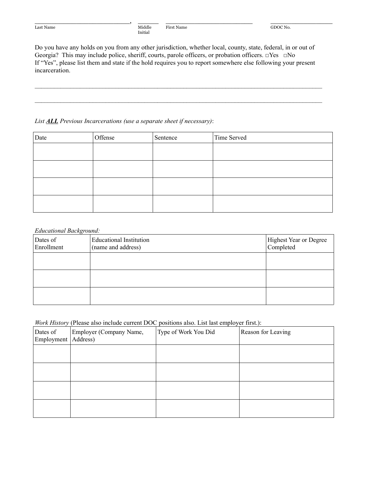Initial

Do you have any holds on you from any other jurisdiction, whether local, county, state, federal, in or out of Georgia? This may include police, sheriff, courts, parole officers, or probation officers. □Yes □No If "Yes", please list them and state if the hold requires you to report somewhere else following your present incarceration.

 $\mathcal{L}_\mathcal{L} = \mathcal{L}_\mathcal{L} = \mathcal{L}_\mathcal{L} = \mathcal{L}_\mathcal{L} = \mathcal{L}_\mathcal{L} = \mathcal{L}_\mathcal{L} = \mathcal{L}_\mathcal{L} = \mathcal{L}_\mathcal{L} = \mathcal{L}_\mathcal{L} = \mathcal{L}_\mathcal{L} = \mathcal{L}_\mathcal{L} = \mathcal{L}_\mathcal{L} = \mathcal{L}_\mathcal{L} = \mathcal{L}_\mathcal{L} = \mathcal{L}_\mathcal{L} = \mathcal{L}_\mathcal{L} = \mathcal{L}_\mathcal{L}$ 

 $\mathcal{L}_\text{max}$ 

\_\_\_\_\_\_\_\_\_\_\_\_\_\_\_\_\_\_\_\_\_\_\_, \_\_\_\_\_ \_\_\_\_\_\_\_\_\_\_\_\_\_\_\_\_\_\_\_\_\_ \_\_\_\_\_\_\_\_\_\_\_\_\_\_\_

#### *List ALL Previous Incarcerations (use a separate sheet if necessary)*:

| Date | Offense | Sentence | Time Served |
|------|---------|----------|-------------|
|      |         |          |             |
|      |         |          |             |
|      |         |          |             |
|      |         |          |             |
|      |         |          |             |
|      |         |          |             |
|      |         |          |             |
|      |         |          |             |

#### *Educational Background:*

| Dates of<br>Enrollment | <b>Educational Institution</b><br>(name and address) | Highest Year or Degree<br>Completed |
|------------------------|------------------------------------------------------|-------------------------------------|
|                        |                                                      |                                     |
|                        |                                                      |                                     |
|                        |                                                      |                                     |

#### *Work History* (Please also include current DOC positions also. List last employer first.):

| Dates of<br>Employment   Address) | Employer (Company Name, | Type of Work You Did | Reason for Leaving |
|-----------------------------------|-------------------------|----------------------|--------------------|
|                                   |                         |                      |                    |
|                                   |                         |                      |                    |
|                                   |                         |                      |                    |
|                                   |                         |                      |                    |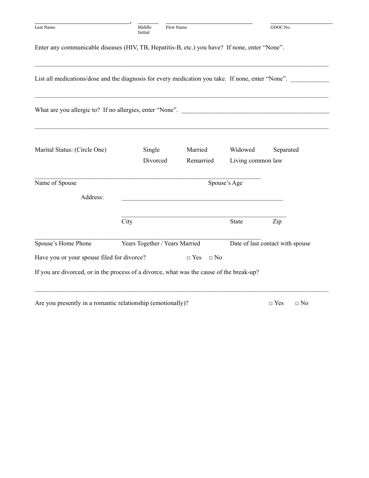| Last Name                                                                                         | Middle<br>Initial              | <b>First Name</b>       |                              | GDOC No.                         |
|---------------------------------------------------------------------------------------------------|--------------------------------|-------------------------|------------------------------|----------------------------------|
| Enter any communicable diseases (HIV, TB, Hepatitis-B, etc.) you have? If none, enter "None".     |                                |                         |                              |                                  |
| List all medications/dose and the diagnosis for every medication you take. If none, enter "None". |                                |                         |                              |                                  |
| What are you allergic to? If no allergies, enter "None". ________________________                 |                                |                         |                              |                                  |
| Marital Status: (Circle One)                                                                      | Single<br>Divorced             | Married<br>Remarried    | Widowed<br>Living common law | Separated                        |
| Name of Spouse                                                                                    |                                |                         | Spouse's Age                 |                                  |
| Address:                                                                                          |                                |                         |                              |                                  |
|                                                                                                   | City                           |                         | State                        | Zip                              |
| Spouse's Home Phone                                                                               | Years Together / Years Married |                         |                              | Date of last contact with spouse |
| Have you or your spouse filed for divorce?                                                        |                                | $\Box$ Yes<br>$\Box$ No |                              |                                  |
| If you are divorced, or in the process of a divorce, what was the cause of the break-up?          |                                |                         |                              |                                  |

Are you presently in a romantic relationship (emotionally)?  $\Box$  Yes  $\Box$  No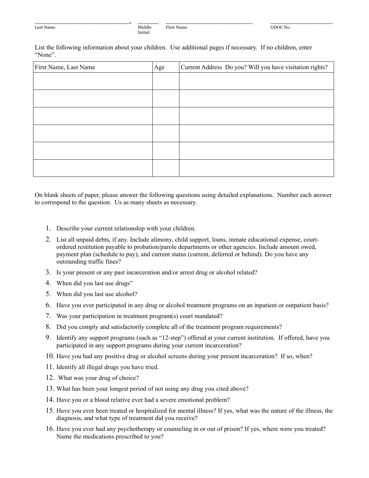Initial

List the following information about your children. Use additional pages if necessary. If no children, enter "None".

\_\_\_\_\_\_\_\_\_\_\_\_\_\_\_\_\_\_\_\_\_\_\_, \_\_\_\_\_ \_\_\_\_\_\_\_\_\_\_\_\_\_\_\_\_\_\_\_\_\_ \_\_\_\_\_\_\_\_\_\_\_\_\_\_\_

| First Name, Last Name | Age | Current Address Do you? Will you have visitation rights? |
|-----------------------|-----|----------------------------------------------------------|
|                       |     |                                                          |
|                       |     |                                                          |
|                       |     |                                                          |
|                       |     |                                                          |
|                       |     |                                                          |
|                       |     |                                                          |
|                       |     |                                                          |
|                       |     |                                                          |
|                       |     |                                                          |
|                       |     |                                                          |
|                       |     |                                                          |
|                       |     |                                                          |

On blank sheets of paper, please answer the following questions using detailed explanations. Number each answer to correspond to the question. Us as many sheets as necessary.

- 1. Describe your current relationship with your children.
- 2. List all unpaid debts, if any. Include alimony, child support, loans, inmate educational expense, courtordered restitution payable to probation/parole departments or other agencies. Include amount owed, payment plan (schedule to pay), and current status (current, deferred or behind). Do you have any outstanding traffic fines?
- 3. Is your present or any past incarceration and/or arrest drug or alcohol related?
- 4. When did you last use drugs"
- 5. When did you last use alcohol?
- 6. Have you ever participated in any drug or alcohol treatment programs on an inpatient or outpatient basis?
- 7. Was your participation in treatment program(s) court mandated?
- 8. Did you comply and satisfactorily complete all of the treatment program requirements?
- 9. Identify any support programs (such as "12-step") offered at your current institution. If offered, have you participated in any support programs during your current incarceration?
- 10. Have you had any positive drug or alcohol screens during your present incarceration? If so, when?
- 11. Identify all illegal drugs you have tried.
- 12. What was your drug of choice?
- 13. What has been your longest period of not using any drug you cited above?
- 14. Have you or a blood relative ever had a severe emotional problem?
- 15. Have you ever been treated or hospitalized for mental illness? If yes, what was the nature of the illness, the diagnosis, and what type of treatment did you receive?
- 16. Have you ever had any psychotherapy or counseling in or out of prison? If yes, where were you treated? Name the medications prescribed to you?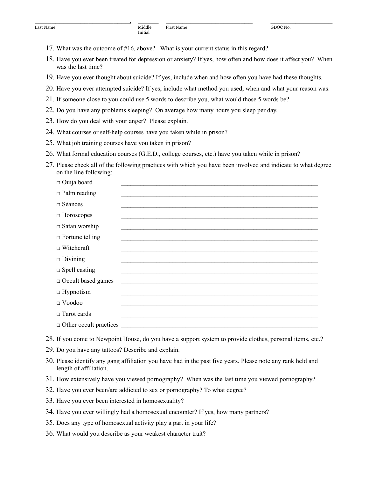17. What was the outcome of #16, above? What is your current status in this regard?

Initial

- 18. Have you ever been treated for depression or anxiety? If yes, how often and how does it affect you? When was the last time?
- 19. Have you ever thought about suicide? If yes, include when and how often you have had these thoughts.

\_\_\_\_\_\_\_\_\_\_\_\_\_\_\_\_\_\_\_\_\_\_\_, \_\_\_\_\_ \_\_\_\_\_\_\_\_\_\_\_\_\_\_\_\_\_\_\_\_\_ \_\_\_\_\_\_\_\_\_\_\_\_\_\_\_

- 20. Have you ever attempted suicide? If yes, include what method you used, when and what your reason was.
- 21. If someone close to you could use 5 words to describe you, what would those 5 words be?
- 22. Do you have any problems sleeping? On average how many hours you sleep per day.
- 23. How do you deal with your anger? Please explain.
- 24. What courses or self-help courses have you taken while in prison?
- 25. What job training courses have you taken in prison?
- 26. What formal education courses (G.E.D., college courses, etc.) have you taken while in prison?
- 27. Please check all of the following practices with which you have been involved and indicate to what degree on the line following:

| $\Box$ Ouija board            |                                                                                                                       |
|-------------------------------|-----------------------------------------------------------------------------------------------------------------------|
| $\Box$ Palm reading           | <u> 1980 - John Stone, Amerikaansk politiker (* 1980)</u>                                                             |
| $\Box$ Séances                |                                                                                                                       |
| $\Box$ Horoscopes             |                                                                                                                       |
| $\square$ Satan worship       |                                                                                                                       |
| $\Box$ Fortune telling        |                                                                                                                       |
| $\Box$ Witchcraft             |                                                                                                                       |
| $\Box$ Divining               |                                                                                                                       |
| $\Box$ Spell casting          |                                                                                                                       |
| $\Box$ Occult based games     | <u> 1989 - John Stone, september 1989 - John Stone, september 1989 - John Stone, september 1989 - John Stone, sep</u> |
| $\Box$ Hypnotism              |                                                                                                                       |
| $\Box$ Voodoo                 |                                                                                                                       |
| $\Box$ Tarot cards            |                                                                                                                       |
| $\Box$ Other occult practices |                                                                                                                       |

- 28. If you come to Newpoint House, do you have a support system to provide clothes, personal items, etc.?
- 29. Do you have any tattoos? Describe and explain.
- 30. Please identify any gang affiliation you have had in the past five years. Please note any rank held and length of affiliation.
- 31. How extensively have you viewed pornography? When was the last time you viewed pornography?
- 32. Have you ever been/are addicted to sex or pornography? To what degree?
- 33. Have you ever been interested in homosexuality?
- 34. Have you ever willingly had a homosexual encounter? If yes, how many partners?
- 35. Does any type of homosexual activity play a part in your life?
- 36. What would you describe as your weakest character trait?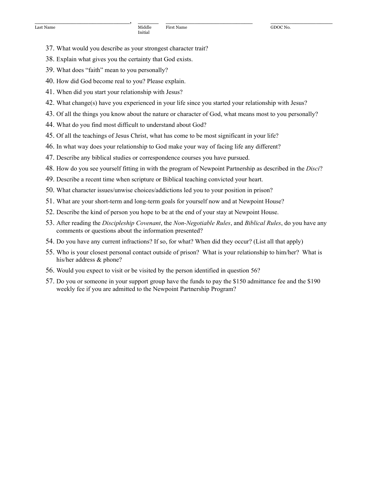- 37. What would you describe as your strongest character trait?
- 38. Explain what gives you the certainty that God exists.
- 39. What does "faith" mean to you personally?
- 40. How did God become real to you? Please explain.
- 41. When did you start your relationship with Jesus?
- 42. What change(s) have you experienced in your life since you started your relationship with Jesus?
- 43. Of all the things you know about the nature or character of God, what means most to you personally?

\_\_\_\_\_\_\_\_\_\_\_\_\_\_\_\_\_\_\_\_\_\_\_, \_\_\_\_\_ \_\_\_\_\_\_\_\_\_\_\_\_\_\_\_\_\_\_\_\_\_ \_\_\_\_\_\_\_\_\_\_\_\_\_\_\_

- 44. What do you find most difficult to understand about God?
- 45. Of all the teachings of Jesus Christ, what has come to be most significant in your life?
- 46. In what way does your relationship to God make your way of facing life any different?
- 47. Describe any biblical studies or correspondence courses you have pursued.
- 48. How do you see yourself fitting in with the program of Newpoint Partnership as described in the *Disci*?
- 49. Describe a recent time when scripture or Biblical teaching convicted your heart.
- 50. What character issues/unwise choices/addictions led you to your position in prison?
- 51. What are your short-term and long-term goals for yourself now and at Newpoint House?
- 52. Describe the kind of person you hope to be at the end of your stay at Newpoint House.
- 53. After reading the *Discipleship Covenant*, the *Non-Negotiable Rules*, and *Biblical Rules*, do you have any comments or questions about the information presented?
- 54. Do you have any current infractions? If so, for what? When did they occur? (List all that apply)
- 55. Who is your closest personal contact outside of prison? What is your relationship to him/her? What is his/her address & phone?
- 56. Would you expect to visit or be visited by the person identified in question 56?
- 57. Do you or someone in your support group have the funds to pay the \$150 admittance fee and the \$190 weekly fee if you are admitted to the Newpoint Partnership Program?